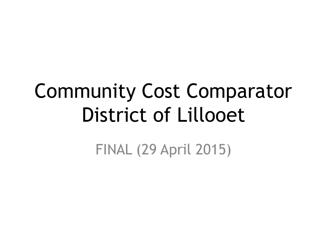# Community Cost Comparator District of Lillooet

FINAL (29 April 2015)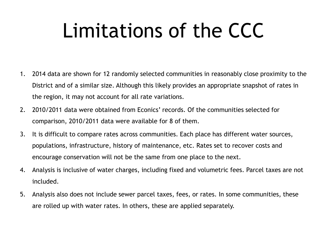## Limitations of the CCC

- 1. 2014 data are shown for 12 randomly selected communities in reasonably close proximity to the District and of a similar size. Although this likely provides an appropriate snapshot of rates in the region, it may not account for all rate variations.
- 2. 2010/2011 data were obtained from Econics' records. Of the communities selected for comparison, 2010/2011 data were available for 8 of them.
- 3. It is difficult to compare rates across communities. Each place has different water sources, populations, infrastructure, history of maintenance, etc. Rates set to recover costs and encourage conservation will not be the same from one place to the next.
- 4. Analysis is inclusive of water charges, including fixed and volumetric fees. Parcel taxes are not included.
- 5. Analysis also does not include sewer parcel taxes, fees, or rates. In some communities, these are rolled up with water rates. In others, these are applied separately.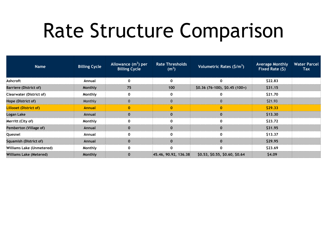#### Rate Structure Comparison

| <b>Name</b>               | <b>Billing Cycle</b> | Allowance $(m^3)$ per<br><b>Billing Cycle</b> | <b>Rate Thresholds</b><br>(m <sup>3</sup> ) | Volumetric Rates $(\frac{\xi}{m^3})$                   | <b>Average Monthly</b><br>Fixed Rate $(5)$ | <b>Water Parcel</b><br><b>Tax</b> |
|---------------------------|----------------------|-----------------------------------------------|---------------------------------------------|--------------------------------------------------------|--------------------------------------------|-----------------------------------|
| Ashcroft                  | Annual               |                                               |                                             |                                                        | \$22.83                                    |                                   |
| Barriere (District of)    | Monthly              | 75                                            | 100                                         | $$0.36$ (76-100), $$0.45$ (100+)                       | \$31.15                                    |                                   |
| Clearwater (District of)  | Monthly              |                                               |                                             |                                                        | \$21.70                                    |                                   |
| Hope (District of)        | Monthly              |                                               |                                             |                                                        | \$21.93                                    |                                   |
| Lillooet (District of).   | Annual               |                                               |                                             |                                                        | S29.33                                     |                                   |
| Logan Lake                | Annual               |                                               |                                             |                                                        | \$13.30                                    |                                   |
| Merritt (City of)         | Monthly              |                                               |                                             |                                                        | \$23.72                                    |                                   |
| Pemberton (Village of)    | Annual               |                                               |                                             |                                                        | \$31.95                                    |                                   |
| Quesnel                   | Annual               |                                               |                                             |                                                        | \$13.37                                    |                                   |
| Squamish (District of)    | Annual               |                                               |                                             |                                                        | \$29.95                                    |                                   |
| Williams Lake (Unmetered) | Monthly              |                                               |                                             |                                                        | \$23.69                                    |                                   |
| Williams Lake (Metered)   | Monthly              |                                               |                                             | $145.46, 90.92, 136.38$ \$0.53, \$0.55, \$0.60, \$0.64 | S <sub>4.09</sub>                          |                                   |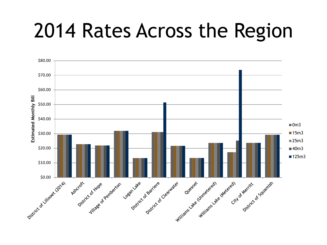### 2014 Rates Across the Region

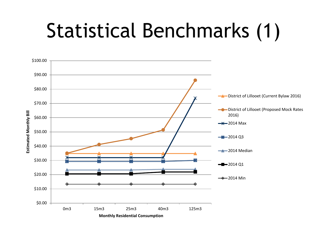## Statistical Benchmarks (1)

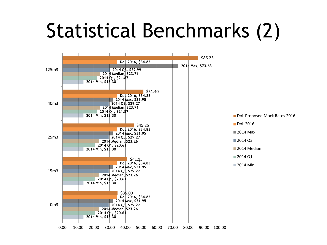## Statistical Benchmarks (2)

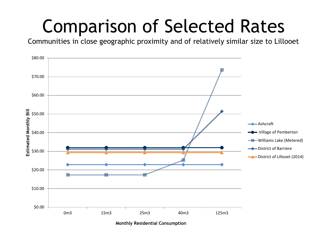#### Comparison of Selected Rates

Communities in close geographic proximity and of relatively similar size to Lillooet



**Monthly Residential Consumption**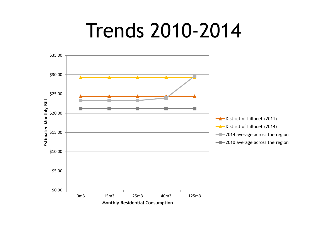### Trends 2010-2014